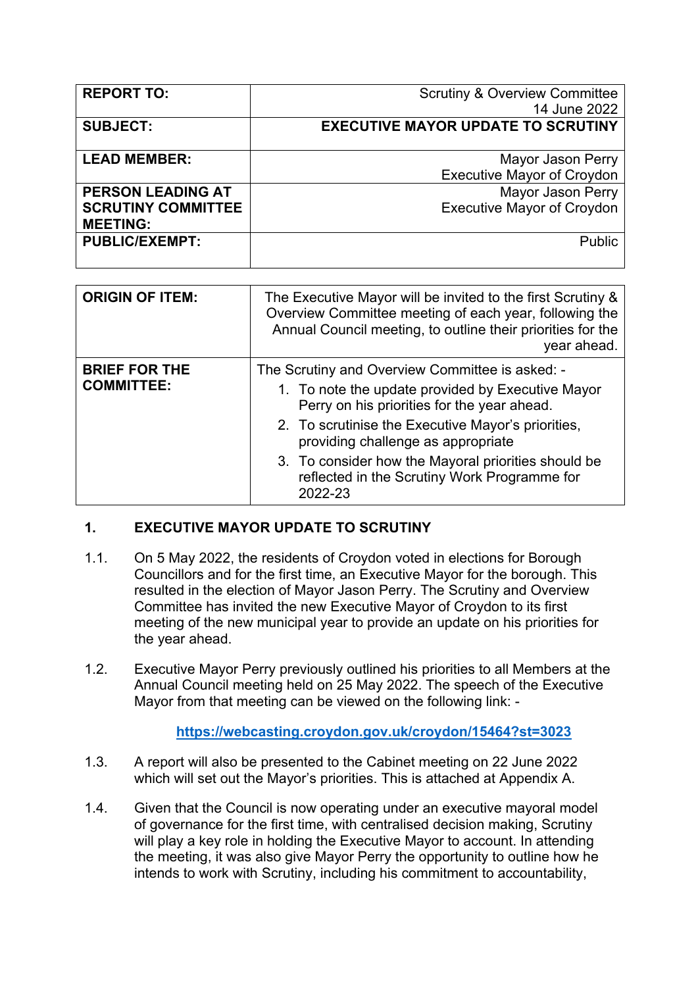| <b>REPORT TO:</b>         | <b>Scrutiny &amp; Overview Committee</b>  |
|---------------------------|-------------------------------------------|
|                           | 14 June 2022                              |
| <b>SUBJECT:</b>           | <b>EXECUTIVE MAYOR UPDATE TO SCRUTINY</b> |
|                           |                                           |
| <b>LEAD MEMBER:</b>       | Mayor Jason Perry                         |
|                           | <b>Executive Mayor of Croydon</b>         |
| <b>PERSON LEADING AT</b>  | <b>Mayor Jason Perry</b>                  |
| <b>SCRUTINY COMMITTEE</b> | <b>Executive Mayor of Croydon</b>         |
| <b>MEETING:</b>           |                                           |
| <b>PUBLIC/EXEMPT:</b>     | Public                                    |
|                           |                                           |

| <b>ORIGIN OF ITEM:</b>                    | The Executive Mayor will be invited to the first Scrutiny &<br>Overview Committee meeting of each year, following the<br>Annual Council meeting, to outline their priorities for the<br>year ahead.                                                                                                                                                               |
|-------------------------------------------|-------------------------------------------------------------------------------------------------------------------------------------------------------------------------------------------------------------------------------------------------------------------------------------------------------------------------------------------------------------------|
| <b>BRIEF FOR THE</b><br><b>COMMITTEE:</b> | The Scrutiny and Overview Committee is asked: -<br>1. To note the update provided by Executive Mayor<br>Perry on his priorities for the year ahead.<br>2. To scrutinise the Executive Mayor's priorities,<br>providing challenge as appropriate<br>3. To consider how the Mayoral priorities should be<br>reflected in the Scrutiny Work Programme for<br>2022-23 |

## **1. EXECUTIVE MAYOR UPDATE TO SCRUTINY**

- 1.1. On 5 May 2022, the residents of Croydon voted in elections for Borough Councillors and for the first time, an Executive Mayor for the borough. This resulted in the election of Mayor Jason Perry. The Scrutiny and Overview Committee has invited the new Executive Mayor of Croydon to its first meeting of the new municipal year to provide an update on his priorities for the year ahead.
- 1.2. Executive Mayor Perry previously outlined his priorities to all Members at the Annual Council meeting held on 25 May 2022. The speech of the Executive Mayor from that meeting can be viewed on the following link: -

## **<https://webcasting.croydon.gov.uk/croydon/15464?st=3023>**

- 1.3. A report will also be presented to the Cabinet meeting on 22 June 2022 which will set out the Mayor's priorities. This is attached at Appendix A.
- 1.4. Given that the Council is now operating under an executive mayoral model of governance for the first time, with centralised decision making, Scrutiny will play a key role in holding the Executive Mayor to account. In attending the meeting, it was also give Mayor Perry the opportunity to outline how he intends to work with Scrutiny, including his commitment to accountability,